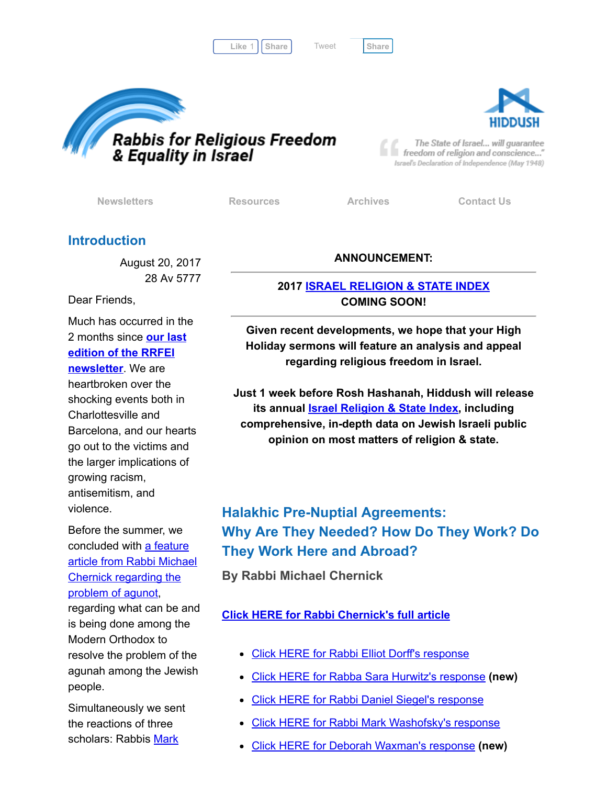Like 1 | [Share](javascript:void(0);) | Tweet | Share

[Tweet](https://twitter.com/intent/tweet?original_referer=http%3A%2F%2Fhosted.verticalresponse.com%2F577764%2F17969cb675%2F1468734706%2F325ceb4427%2F&ref_src=twsrc%5Etfw&text=Newsletter%3A%20Rabba%20Hurwitz%20%26%20Rabbi%20Waxman%20on%20Agunot&tw_p=tweetbutton&url=http%3A%2F%2Fhosted-p0.vresp.com%2F577764%2F17969cb675%2FARCHIVE%23.Wa01tecEfVY.twitter)





The State of Israel... will guarantee freedom of religion and conscience..." Israel's Declaration of Independence (May 1948)

[Newsletters](http://cts.vresp.com/c/?FreedomofReligionfor/17969cb675/325ceb4427/bd504acb77) **[Resources](http://cts.vresp.com/c/?FreedomofReligionfor/17969cb675/325ceb4427/73b9f1e2be)** [Archives](http://cts.vresp.com/c/?FreedomofReligionfor/17969cb675/325ceb4427/fa4d545a46) [Contact](http://cts.vresp.com/c/?FreedomofReligionfor/17969cb675/325ceb4427/95ddf82515) Us

# Introduction

August 20, 2017 28 Av 5777

Dear Friends,

Much has occurred in the 2 months since our last edition of the RRFEI [newsletter.](http://cts.vresp.com/c/?FreedomofReligionfor/17969cb675/325ceb4427/3127cf2adc) We are heartbroken over the shocking events both in Charlottesville and Barcelona, and our hearts go out to the victims and the larger implications of growing racism, antisemitism, and

violence.

Before the summer, we [concluded](http://cts.vresp.com/c/?FreedomofReligionfor/17969cb675/325ceb4427/83c372ddb9) with a feature article from Rabbi Michael Chernick regarding the problem of agunot,

regarding what can be and is being done among the Modern Orthodox to resolve the problem of the agunah among the Jewish people.

Simultaneously we sent the reactions of three [scholars:](http://cts.vresp.com/c/?FreedomofReligionfor/17969cb675/325ceb4427/0cb500572e) Rabbis Mark

### ANNOUNCEMENT:

## 2017 ISRAEL [RELIGION](http://cts.vresp.com/c/?FreedomofReligionfor/17969cb675/325ceb4427/1347506836) & STATE INDEX COMING SOON!

Given recent developments, we hope that your High Holiday sermons will feature an analysis and appeal regarding religious freedom in Israel.

Just 1 week before Rosh Hashanah, Hiddush will release its annual **Israel [Religion](http://cts.vresp.com/c/?FreedomofReligionfor/17969cb675/325ceb4427/66fff46748) & State Index**, including comprehensive, in-depth data on Jewish Israeli public opinion on most matters of religion & state.

# Halakhic Pre-Nuptial Agreements: Why Are They Needed? How Do They Work? Do They Work Here and Abroad?

By Rabbi Michael Chernick

## Click HERE for Rabbi [Chernick's](http://cts.vresp.com/c/?FreedomofReligionfor/17969cb675/325ceb4427/5f0773bd6b) full article

- Click HERE for Rabbi Elliot Dorff's [response](http://cts.vresp.com/c/?FreedomofReligionfor/17969cb675/325ceb4427/9c4e6d3bfa)
- Click HERE for Rabba Sara Hurwitz's [response](http://cts.vresp.com/c/?FreedomofReligionfor/17969cb675/325ceb4427/c3774bdf28) (new)
- Click HERE for Rabbi Daniel Siegel's [response](http://cts.vresp.com/c/?FreedomofReligionfor/17969cb675/325ceb4427/00049955d6)
- Click HERE for Rabbi Mark [Washofsky's](http://cts.vresp.com/c/?FreedomofReligionfor/17969cb675/325ceb4427/84ca3b6062) response
- Click HERE for Deborah [Waxman's](http://cts.vresp.com/c/?FreedomofReligionfor/17969cb675/325ceb4427/69f5883ca8) response (new)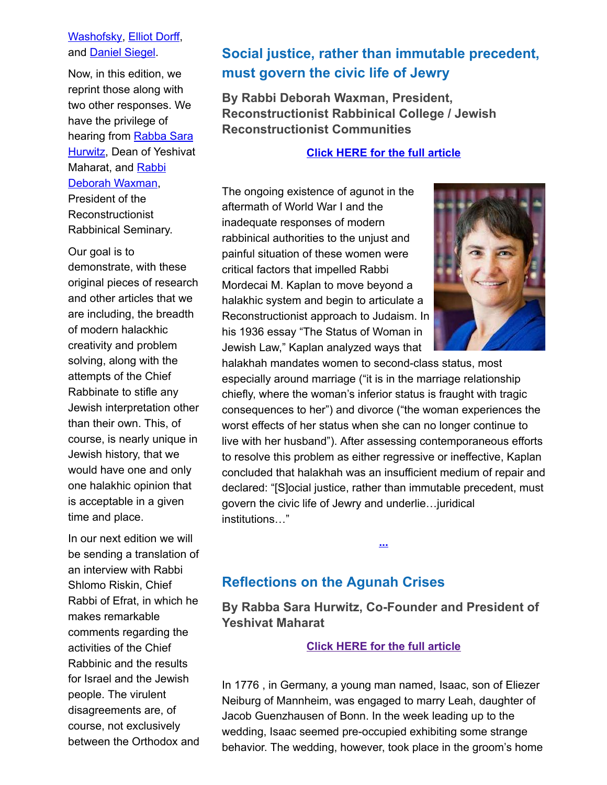#### [Washofsky,](http://cts.vresp.com/c/?FreedomofReligionfor/17969cb675/325ceb4427/0cb500572e) [Elliot](http://cts.vresp.com/c/?FreedomofReligionfor/17969cb675/325ceb4427/fe64596bf1) Dorff, and [Daniel](http://cts.vresp.com/c/?FreedomofReligionfor/17969cb675/325ceb4427/2406ea7c57) Siegel.

Now, in this edition, we reprint those along with two other responses. We have the privilege of hearing from Rabba Sara **[Hurwitz,](http://cts.vresp.com/c/?FreedomofReligionfor/17969cb675/325ceb4427/bccd314a1d) Dean of Yeshivat** Maharat, and Rabbi Deborah [Waxman,](http://cts.vresp.com/c/?FreedomofReligionfor/17969cb675/325ceb4427/dc26579812) President of the

Reconstructionist Rabbinical Seminary.

Our goal is to demonstrate, with these original pieces of research and other articles that we are including, the breadth of modern halackhic creativity and problem solving, along with the attempts of the Chief Rabbinate to stifle any Jewish interpretation other than their own. This, of course, is nearly unique in Jewish history, that we would have one and only one halakhic opinion that is acceptable in a given time and place.

In our next edition we will be sending a translation of an interview with Rabbi Shlomo Riskin, Chief Rabbi of Efrat, in which he makes remarkable comments regarding the activities of the Chief Rabbinic and the results for Israel and the Jewish people. The virulent disagreements are, of course, not exclusively between the Orthodox and

# Social justice, rather than immutable precedent, must govern the civic life of Jewry

By Rabbi Deborah Waxman, President, Reconstructionist Rabbinical College / Jewish Reconstructionist Communities

#### Click HERE for the full [article](http://cts.vresp.com/c/?FreedomofReligionfor/17969cb675/325ceb4427/b8c0fac5a2)

The ongoing existence of agunot in the aftermath of World War I and the inadequate responses of modern rabbinical authorities to the unjust and painful situation of these women were critical factors that impelled Rabbi Mordecai M. Kaplan to move beyond a halakhic system and begin to articulate a Reconstructionist approach to Judaism. In his 1936 essay "The Status of Woman in Jewish Law," Kaplan analyzed ways that



halakhah mandates women to second-class status, most especially around marriage ("it is in the marriage relationship chiefly, where the woman's inferior status is fraught with tragic consequences to her") and divorce ("the woman experiences the worst effects of her status when she can no longer continue to live with her husband"). After assessing contemporaneous efforts to resolve this problem as either regressive or ineffective, Kaplan concluded that halakhah was an insufficient medium of repair and declared: "[S]ocial justice, rather than immutable precedent, must govern the civic life of Jewry and underlie…juridical institutions…"

# Reflections on the Agunah Crises

By Rabba Sara Hurwitz, Co-Founder and President of Yeshivat Maharat

[...](http://cts.vresp.com/c/?FreedomofReligionfor/17969cb675/325ceb4427/6d208a5613)

#### Click HERE for the full [article](http://cts.vresp.com/c/?FreedomofReligionfor/17969cb675/325ceb4427/48e9f67d72)

In 1776 , in Germany, a young man named, Isaac, son of Eliezer Neiburg of Mannheim, was engaged to marry Leah, daughter of Jacob Guenzhausen of Bonn. In the week leading up to the wedding, Isaac seemed pre-occupied exhibiting some strange behavior. The wedding, however, took place in the groom's home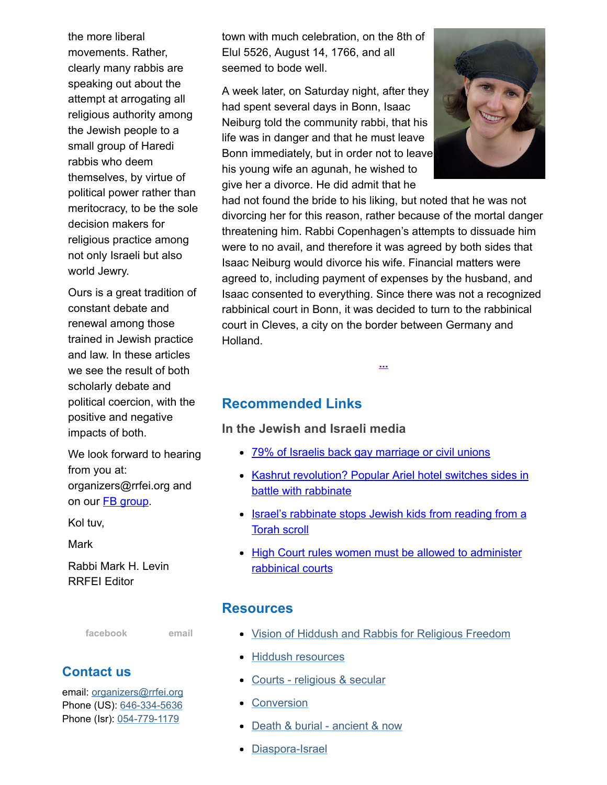the more liberal movements. Rather, clearly many rabbis are speaking out about the attempt at arrogating all religious authority among the Jewish people to a small group of Haredi rabbis who deem themselves, by virtue of political power rather than meritocracy, to be the sole decision makers for religious practice among not only Israeli but also world Jewry.

Ours is a great tradition of constant debate and renewal among those trained in Jewish practice and law. In these articles we see the result of both scholarly debate and political coercion, with the positive and negative impacts of both.

We look forward to hearing from you at: organizers@rrfei.org and on our **FB** [group](http://cts.vresp.com/c/?FreedomofReligionfor/17969cb675/325ceb4427/4643fb78d6).

Kol tuv,

**Mark** 

Rabbi Mark H. Levin RRFEI Editor

[facebook](http://cts.vresp.com/c/?FreedomofReligionfor/17969cb675/325ceb4427/53777c2468) [email](mailto:organizers@rrfei.org)

# Contact us

email: [organizers@rrfei.org](mailto:organizers@rrfei.org) Phone (US): [646-334-5636](http://cts.vresp.com/c/?FreedomofReligionfor/17969cb675/325ceb4427/76c4b08ce0) Phone (Isr): [054-779-1179](http://cts.vresp.com/c/?FreedomofReligionfor/17969cb675/325ceb4427/4b3933d099)

town with much celebration, on the 8th of Elul 5526, August 14, 1766, and all seemed to bode well.

A week later, on Saturday night, after they had spent several days in Bonn, Isaac Neiburg told the community rabbi, that his life was in danger and that he must leave Bonn immediately, but in order not to leave his young wife an agunah, he wished to give her a divorce. He did admit that he



had not found the bride to his liking, but noted that he was not divorcing her for this reason, rather because of the mortal danger threatening him. Rabbi Copenhagen's attempts to dissuade him were to no avail, and therefore it was agreed by both sides that Isaac Neiburg would divorce his wife. Financial matters were agreed to, including payment of expenses by the husband, and Isaac consented to everything. Since there was not a recognized rabbinical court in Bonn, it was decided to turn to the rabbinical court in Cleves, a city on the border between Germany and Holland.

[...](http://cts.vresp.com/c/?FreedomofReligionfor/17969cb675/325ceb4427/32ddb593dd)

# Recommended Links

In the Jewish and Israeli media

- 79% of Israelis back gay [marriage](http://cts.vresp.com/c/?FreedomofReligionfor/17969cb675/325ceb4427/155d90d54e) or civil unions
- Kashrut [revolution?](http://cts.vresp.com/c/?FreedomofReligionfor/17969cb675/325ceb4427/6ea8b7577e) Popular Ariel hotel switches sides in battle with rabbinate
- Israel's [rabbinate](http://cts.vresp.com/c/?FreedomofReligionfor/17969cb675/325ceb4427/5dfd27462b) stops Jewish kids from reading from a Torah scroll
- High Court rules women must be allowed to [administer](http://cts.vresp.com/c/?FreedomofReligionfor/17969cb675/325ceb4427/93660e033a) rabbinical courts

### **Resources**

- Vision of Hiddush and Rabbis for [Religious](http://cts.vresp.com/c/?FreedomofReligionfor/17969cb675/325ceb4427/7d28962ec0) Freedom
- Hiddush [resources](http://cts.vresp.com/c/?FreedomofReligionfor/17969cb675/325ceb4427/24678862d4)
- Courts [religious](http://cts.vresp.com/c/?FreedomofReligionfor/17969cb675/325ceb4427/3a863d8f9e) & secular
- **[Conversion](http://cts.vresp.com/c/?FreedomofReligionfor/17969cb675/325ceb4427/1128b888f7)**
- Death & burial [ancient](http://cts.vresp.com/c/?FreedomofReligionfor/17969cb675/325ceb4427/98e1cd58b4) & now
- [Diaspora-Israel](http://cts.vresp.com/c/?FreedomofReligionfor/17969cb675/325ceb4427/bb5b8524a8)